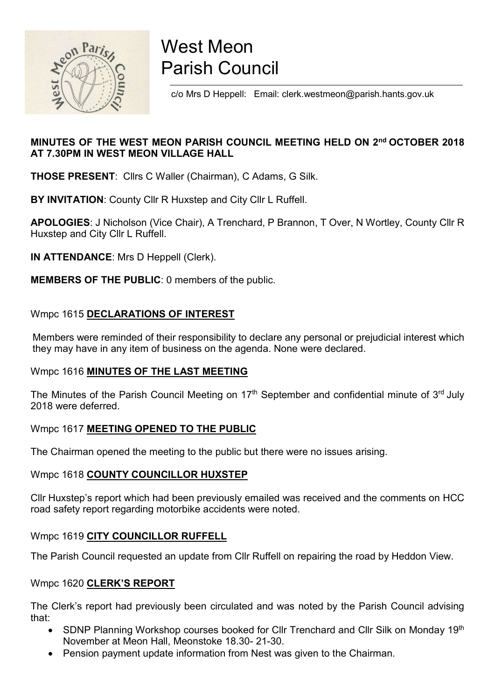

# West Meon Parish Council

c/o Mrs D Heppell: Email: clerk.westmeon@parish.hants.gov.uk

## MINUTES OF THE WEST MEON PARISH COUNCIL MEETING HELD ON 2nd OCTOBER 2018 AT 7.30PM IN WEST MEON VILLAGE HALL

THOSE PRESENT: Cllrs C Waller (Chairman), C Adams, G Silk.

BY INVITATION: County Cllr R Huxstep and City Cllr L Ruffell.

APOLOGIES: J Nicholson (Vice Chair), A Trenchard, P Brannon, T Over, N Wortley, County Cllr R Huxstep and City Cllr L Ruffell.

IN ATTENDANCE: Mrs D Heppell (Clerk).

MEMBERS OF THE PUBLIC: 0 members of the public.

## Wmpc 1615 DECLARATIONS OF INTEREST

 Members were reminded of their responsibility to declare any personal or prejudicial interest which they may have in any item of business on the agenda. None were declared.

## Wmpc 1616 MINUTES OF THE LAST MEETING

The Minutes of the Parish Council Meeting on 17<sup>th</sup> September and confidential minute of 3<sup>rd</sup> July 2018 were deferred.

## Wmpc 1617 MEETING OPENED TO THE PUBLIC

The Chairman opened the meeting to the public but there were no issues arising.

## Wmpc 1618 COUNTY COUNCILLOR HUXSTEP

Cllr Huxstep's report which had been previously emailed was received and the comments on HCC road safety report regarding motorbike accidents were noted.

## Wmpc 1619 CITY COUNCILLOR RUFFELL

The Parish Council requested an update from Cllr Ruffell on repairing the road by Heddon View.

## Wmpc 1620 CLERK'S REPORT

The Clerk's report had previously been circulated and was noted by the Parish Council advising that:

- SDNP Planning Workshop courses booked for Cllr Trenchard and Cllr Silk on Monday 19<sup>th</sup> November at Meon Hall, Meonstoke 18.30- 21-30.
- Pension payment update information from Nest was given to the Chairman.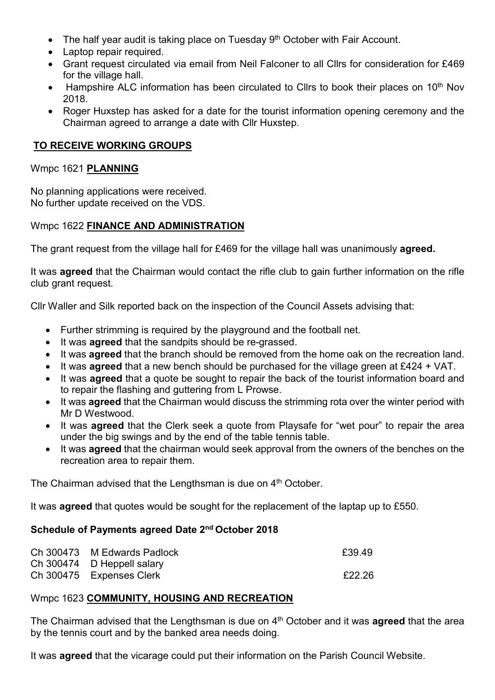- The half year audit is taking place on Tuesday 9<sup>th</sup> October with Fair Account.
- Laptop repair required.
- Grant request circulated via email from Neil Falconer to all Cllrs for consideration for £469 for the village hall.
- $\bullet$  Hampshire ALC information has been circulated to Cllrs to book their places on 10<sup>th</sup> Nov 2018.
- Roger Huxstep has asked for a date for the tourist information opening ceremony and the Chairman agreed to arrange a date with Cllr Huxstep.

## TO RECEIVE WORKING GROUPS

#### Wmpc 1621 PLANNING

No planning applications were received. No further update received on the VDS.

## Wmpc 1622 FINANCE AND ADMINISTRATION

The grant request from the village hall for £469 for the village hall was unanimously **agreed.** 

It was **agreed** that the Chairman would contact the rifle club to gain further information on the rifle club grant request.

Cllr Waller and Silk reported back on the inspection of the Council Assets advising that:

- Further strimming is required by the playground and the football net.
- It was **agreed** that the sandpits should be re-grassed.
- It was **agreed** that the branch should be removed from the home oak on the recreation land.
- It was **agreed** that a new bench should be purchased for the village green at £424 + VAT.
- It was **agreed** that a quote be sought to repair the back of the tourist information board and to repair the flashing and guttering from L Prowse.
- It was **agreed** that the Chairman would discuss the strimming rota over the winter period with Mr D Westwood.
- It was **agreed** that the Clerk seek a quote from Playsafe for "wet pour" to repair the area under the big swings and by the end of the table tennis table.
- It was **agreed** that the chairman would seek approval from the owners of the benches on the recreation area to repair them.

The Chairman advised that the Lengthsman is due on 4<sup>th</sup> October.

It was **agreed** that quotes would be sought for the replacement of the laptap up to £550.

## Schedule of Payments agreed Date 2nd October 2018

| Ch 300473 M Edwards Padlock | £39.49 |
|-----------------------------|--------|
| Ch 300474 D Heppell salary  |        |
| Ch 300475 Expenses Clerk    | £22.26 |

## Wmpc 1623 COMMUNITY, HOUSING AND RECREATION

The Chairman advised that the Lengthsman is due on  $4<sup>th</sup>$  October and it was **agreed** that the area by the tennis court and by the banked area needs doing.

It was **agreed** that the vicarage could put their information on the Parish Council Website.